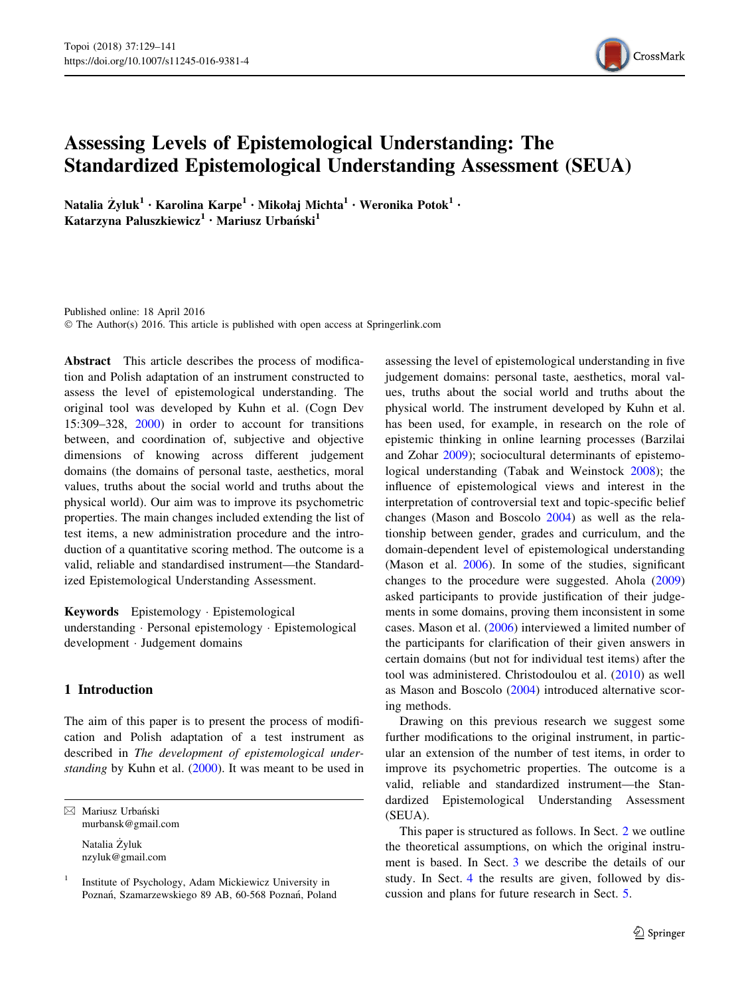

Natalia  $\dot{Z}$ yluk<sup>1</sup> • Karolina Karpe<sup>1</sup> • Mikołaj Michta<sup>1</sup> • Weronika Potok<sup>1</sup> • Katarzyna Paluszkiewicz<sup>1</sup> · Mariusz Urbański<sup>1</sup>

Published online: 18 April 2016 © The Author(s) 2016. This article is published with open access at Springerlink.com

Abstract This article describes the process of modification and Polish adaptation of an instrument constructed to assess the level of epistemological understanding. The original tool was developed by Kuhn et al. (Cogn Dev 15:309–328, [2000](#page-12-0)) in order to account for transitions between, and coordination of, subjective and objective dimensions of knowing across different judgement domains (the domains of personal taste, aesthetics, moral values, truths about the social world and truths about the physical world). Our aim was to improve its psychometric properties. The main changes included extending the list of test items, a new administration procedure and the introduction of a quantitative scoring method. The outcome is a valid, reliable and standardised instrument—the Standardized Epistemological Understanding Assessment.

Keywords Epistemology - Epistemological understanding - Personal epistemology - Epistemological development - Judgement domains

# 1 Introduction

The aim of this paper is to present the process of modification and Polish adaptation of a test instrument as described in The development of epistemological under-standing by Kuhn et al. ([2000\)](#page-12-0). It was meant to be used in

 $\boxtimes$  Mariusz Urbański murbansk@gmail.com

> Natalia Zyluk \_ nzyluk@gmail.com

assessing the level of epistemological understanding in five judgement domains: personal taste, aesthetics, moral values, truths about the social world and truths about the physical world. The instrument developed by Kuhn et al. has been used, for example, in research on the role of epistemic thinking in online learning processes (Barzilai and Zohar [2009\)](#page-11-0); sociocultural determinants of epistemological understanding (Tabak and Weinstock [2008\)](#page-12-0); the influence of epistemological views and interest in the interpretation of controversial text and topic-specific belief changes (Mason and Boscolo [2004\)](#page-12-0) as well as the relationship between gender, grades and curriculum, and the domain-dependent level of epistemological understanding (Mason et al. [2006\)](#page-12-0). In some of the studies, significant changes to the procedure were suggested. Ahola ([2009\)](#page-11-0) asked participants to provide justification of their judgements in some domains, proving them inconsistent in some cases. Mason et al. [\(2006](#page-12-0)) interviewed a limited number of the participants for clarification of their given answers in certain domains (but not for individual test items) after the tool was administered. Christodoulou et al. ([2010\)](#page-11-0) as well as Mason and Boscolo ([2004\)](#page-12-0) introduced alternative scoring methods.

Drawing on this previous research we suggest some further modifications to the original instrument, in particular an extension of the number of test items, in order to improve its psychometric properties. The outcome is a valid, reliable and standardized instrument—the Standardized Epistemological Understanding Assessment (SEUA).

This paper is structured as follows. In Sect. [2](#page-1-0) we outline the theoretical assumptions, on which the original instrument is based. In Sect. [3](#page-3-0) we describe the details of our study. In Sect. [4](#page-5-0) the results are given, followed by discussion and plans for future research in Sect. [5.](#page-10-0)

CrossMark

<sup>1</sup> Institute of Psychology, Adam Mickiewicz University in Poznań, Szamarzewskiego 89 AB, 60-568 Poznań, Poland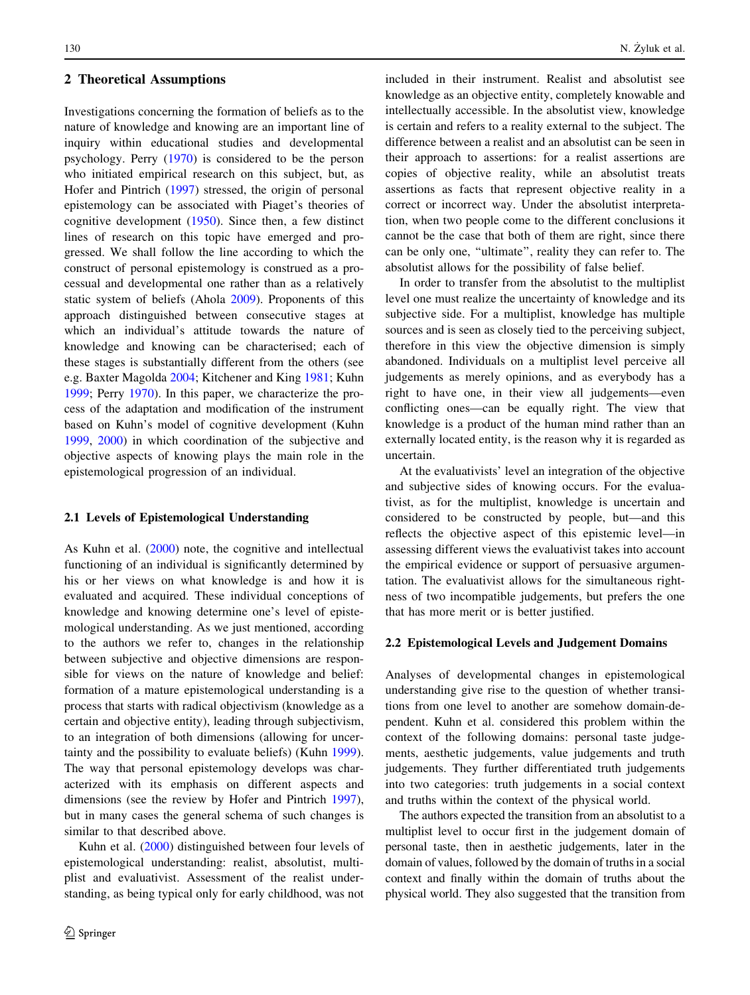### <span id="page-1-0"></span>2 Theoretical Assumptions

Investigations concerning the formation of beliefs as to the nature of knowledge and knowing are an important line of inquiry within educational studies and developmental psychology. Perry [\(1970](#page-12-0)) is considered to be the person who initiated empirical research on this subject, but, as Hofer and Pintrich ([1997\)](#page-12-0) stressed, the origin of personal epistemology can be associated with Piaget's theories of cognitive development ([1950\)](#page-12-0). Since then, a few distinct lines of research on this topic have emerged and progressed. We shall follow the line according to which the construct of personal epistemology is construed as a processual and developmental one rather than as a relatively static system of beliefs (Ahola [2009](#page-11-0)). Proponents of this approach distinguished between consecutive stages at which an individual's attitude towards the nature of knowledge and knowing can be characterised; each of these stages is substantially different from the others (see e.g. Baxter Magolda [2004](#page-11-0); Kitchener and King [1981;](#page-12-0) Kuhn [1999;](#page-12-0) Perry [1970](#page-12-0)). In this paper, we characterize the process of the adaptation and modification of the instrument based on Kuhn's model of cognitive development (Kuhn [1999,](#page-12-0) [2000\)](#page-12-0) in which coordination of the subjective and objective aspects of knowing plays the main role in the epistemological progression of an individual.

### 2.1 Levels of Epistemological Understanding

As Kuhn et al. [\(2000](#page-12-0)) note, the cognitive and intellectual functioning of an individual is significantly determined by his or her views on what knowledge is and how it is evaluated and acquired. These individual conceptions of knowledge and knowing determine one's level of epistemological understanding. As we just mentioned, according to the authors we refer to, changes in the relationship between subjective and objective dimensions are responsible for views on the nature of knowledge and belief: formation of a mature epistemological understanding is a process that starts with radical objectivism (knowledge as a certain and objective entity), leading through subjectivism, to an integration of both dimensions (allowing for uncertainty and the possibility to evaluate beliefs) (Kuhn [1999](#page-12-0)). The way that personal epistemology develops was characterized with its emphasis on different aspects and dimensions (see the review by Hofer and Pintrich [1997](#page-12-0)), but in many cases the general schema of such changes is similar to that described above.

Kuhn et al. ([2000\)](#page-12-0) distinguished between four levels of epistemological understanding: realist, absolutist, multiplist and evaluativist. Assessment of the realist understanding, as being typical only for early childhood, was not included in their instrument. Realist and absolutist see knowledge as an objective entity, completely knowable and intellectually accessible. In the absolutist view, knowledge is certain and refers to a reality external to the subject. The difference between a realist and an absolutist can be seen in their approach to assertions: for a realist assertions are copies of objective reality, while an absolutist treats assertions as facts that represent objective reality in a correct or incorrect way. Under the absolutist interpretation, when two people come to the different conclusions it cannot be the case that both of them are right, since there can be only one, ''ultimate'', reality they can refer to. The absolutist allows for the possibility of false belief.

In order to transfer from the absolutist to the multiplist level one must realize the uncertainty of knowledge and its subjective side. For a multiplist, knowledge has multiple sources and is seen as closely tied to the perceiving subject, therefore in this view the objective dimension is simply abandoned. Individuals on a multiplist level perceive all judgements as merely opinions, and as everybody has a right to have one, in their view all judgements—even conflicting ones—can be equally right. The view that knowledge is a product of the human mind rather than an externally located entity, is the reason why it is regarded as uncertain.

At the evaluativists' level an integration of the objective and subjective sides of knowing occurs. For the evaluativist, as for the multiplist, knowledge is uncertain and considered to be constructed by people, but—and this reflects the objective aspect of this epistemic level—in assessing different views the evaluativist takes into account the empirical evidence or support of persuasive argumentation. The evaluativist allows for the simultaneous rightness of two incompatible judgements, but prefers the one that has more merit or is better justified.

#### 2.2 Epistemological Levels and Judgement Domains

Analyses of developmental changes in epistemological understanding give rise to the question of whether transitions from one level to another are somehow domain-dependent. Kuhn et al. considered this problem within the context of the following domains: personal taste judgements, aesthetic judgements, value judgements and truth judgements. They further differentiated truth judgements into two categories: truth judgements in a social context and truths within the context of the physical world.

The authors expected the transition from an absolutist to a multiplist level to occur first in the judgement domain of personal taste, then in aesthetic judgements, later in the domain of values, followed by the domain of truths in a social context and finally within the domain of truths about the physical world. They also suggested that the transition from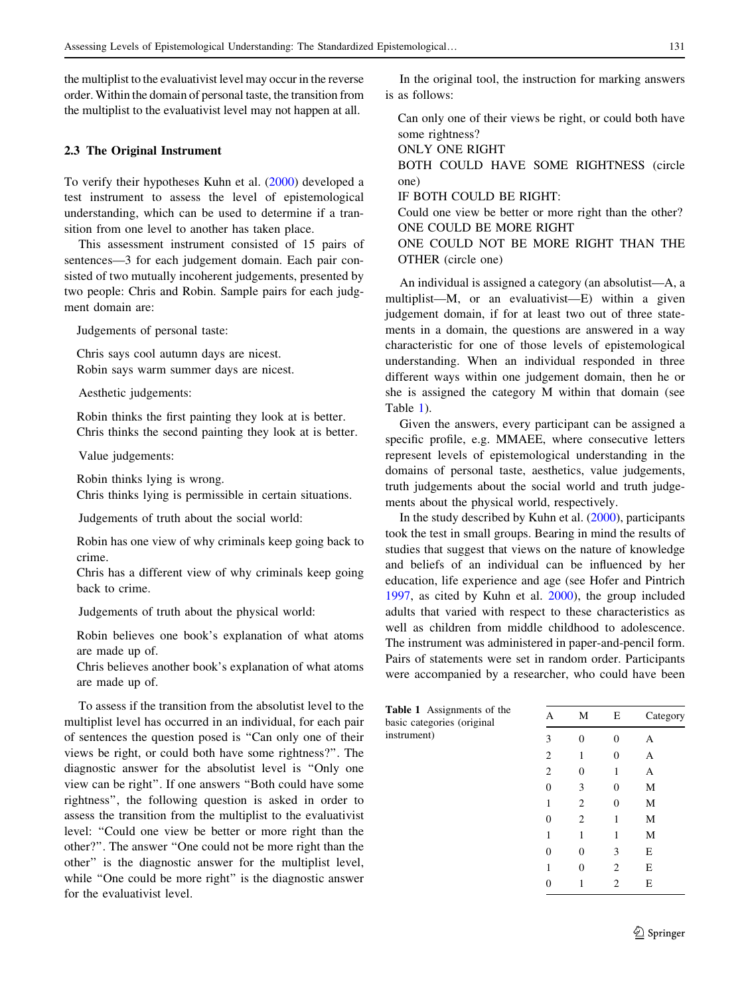<span id="page-2-0"></span>the multiplist to the evaluativist level may occur in the reverse order. Within the domain of personal taste, the transition from the multiplist to the evaluativist level may not happen at all.

## 2.3 The Original Instrument

To verify their hypotheses Kuhn et al. ([2000\)](#page-12-0) developed a test instrument to assess the level of epistemological understanding, which can be used to determine if a transition from one level to another has taken place.

This assessment instrument consisted of 15 pairs of sentences—3 for each judgement domain. Each pair consisted of two mutually incoherent judgements, presented by two people: Chris and Robin. Sample pairs for each judgment domain are:

Judgements of personal taste:

Chris says cool autumn days are nicest. Robin says warm summer days are nicest.

Aesthetic judgements:

Robin thinks the first painting they look at is better. Chris thinks the second painting they look at is better.

Value judgements:

Robin thinks lying is wrong.

Chris thinks lying is permissible in certain situations.

Judgements of truth about the social world:

Robin has one view of why criminals keep going back to crime.

Chris has a different view of why criminals keep going back to crime.

Judgements of truth about the physical world:

Robin believes one book's explanation of what atoms are made up of.

Chris believes another book's explanation of what atoms are made up of.

To assess if the transition from the absolutist level to the multiplist level has occurred in an individual, for each pair of sentences the question posed is ''Can only one of their views be right, or could both have some rightness?''. The diagnostic answer for the absolutist level is ''Only one view can be right''. If one answers ''Both could have some rightness'', the following question is asked in order to assess the transition from the multiplist to the evaluativist level: ''Could one view be better or more right than the other?''. The answer ''One could not be more right than the other'' is the diagnostic answer for the multiplist level, while "One could be more right" is the diagnostic answer for the evaluativist level.

In the original tool, the instruction for marking answers is as follows:

Can only one of their views be right, or could both have some rightness?

ONLY ONE RIGHT

BOTH COULD HAVE SOME RIGHTNESS (circle one)

IF BOTH COULD BE RIGHT:

Could one view be better or more right than the other? ONE COULD BE MORE RIGHT

ONE COULD NOT BE MORE RIGHT THAN THE OTHER (circle one)

An individual is assigned a category (an absolutist—A, a multiplist—M, or an evaluativist—E) within a given judgement domain, if for at least two out of three statements in a domain, the questions are answered in a way characteristic for one of those levels of epistemological understanding. When an individual responded in three different ways within one judgement domain, then he or she is assigned the category M within that domain (see Table 1).

Given the answers, every participant can be assigned a specific profile, e.g. MMAEE, where consecutive letters represent levels of epistemological understanding in the domains of personal taste, aesthetics, value judgements, truth judgements about the social world and truth judgements about the physical world, respectively.

In the study described by Kuhn et al. [\(2000](#page-12-0)), participants took the test in small groups. Bearing in mind the results of studies that suggest that views on the nature of knowledge and beliefs of an individual can be influenced by her education, life experience and age (see Hofer and Pintrich [1997](#page-12-0), as cited by Kuhn et al. [2000\)](#page-12-0), the group included adults that varied with respect to these characteristics as well as children from middle childhood to adolescence. The instrument was administered in paper-and-pencil form. Pairs of statements were set in random order. Participants were accompanied by a researcher, who could have been

| <b>Table 1</b> Assignments of the<br>basic categories (original | A        | М        | Ε        | Category |  |  |
|-----------------------------------------------------------------|----------|----------|----------|----------|--|--|
| instrument)                                                     | 3        | $\theta$ | $\Omega$ | А        |  |  |
|                                                                 | 2        | 1        | 0        | А        |  |  |
|                                                                 | 2        | $\theta$ | 1        | А        |  |  |
|                                                                 | $\theta$ | 3        | $_{0}$   | M        |  |  |
|                                                                 | 1        | 2        | 0        | М        |  |  |
|                                                                 | $\theta$ | 2        | 1        | М        |  |  |
|                                                                 | 1        | 1        | 1        | М        |  |  |
|                                                                 | 0        | $\Omega$ | 3        | E        |  |  |
|                                                                 |          | $\Omega$ | 2        | Е        |  |  |
|                                                                 |          | 1        | 2        | Е        |  |  |
|                                                                 |          |          |          |          |  |  |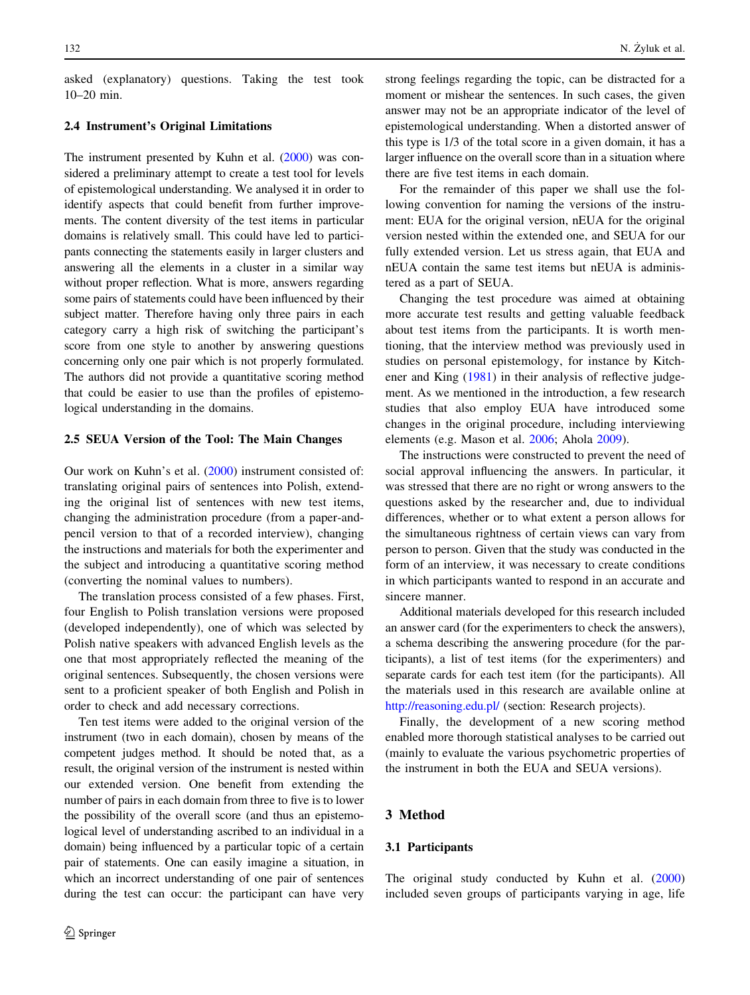<span id="page-3-0"></span>asked (explanatory) questions. Taking the test took 10–20 min.

### 2.4 Instrument's Original Limitations

The instrument presented by Kuhn et al. ([2000](#page-12-0)) was considered a preliminary attempt to create a test tool for levels of epistemological understanding. We analysed it in order to identify aspects that could benefit from further improvements. The content diversity of the test items in particular domains is relatively small. This could have led to participants connecting the statements easily in larger clusters and answering all the elements in a cluster in a similar way without proper reflection. What is more, answers regarding some pairs of statements could have been influenced by their subject matter. Therefore having only three pairs in each category carry a high risk of switching the participant's score from one style to another by answering questions concerning only one pair which is not properly formulated. The authors did not provide a quantitative scoring method that could be easier to use than the profiles of epistemological understanding in the domains.

## 2.5 SEUA Version of the Tool: The Main Changes

Our work on Kuhn's et al. [\(2000](#page-12-0)) instrument consisted of: translating original pairs of sentences into Polish, extending the original list of sentences with new test items, changing the administration procedure (from a paper-andpencil version to that of a recorded interview), changing the instructions and materials for both the experimenter and the subject and introducing a quantitative scoring method (converting the nominal values to numbers).

The translation process consisted of a few phases. First, four English to Polish translation versions were proposed (developed independently), one of which was selected by Polish native speakers with advanced English levels as the one that most appropriately reflected the meaning of the original sentences. Subsequently, the chosen versions were sent to a proficient speaker of both English and Polish in order to check and add necessary corrections.

Ten test items were added to the original version of the instrument (two in each domain), chosen by means of the competent judges method. It should be noted that, as a result, the original version of the instrument is nested within our extended version. One benefit from extending the number of pairs in each domain from three to five is to lower the possibility of the overall score (and thus an epistemological level of understanding ascribed to an individual in a domain) being influenced by a particular topic of a certain pair of statements. One can easily imagine a situation, in which an incorrect understanding of one pair of sentences during the test can occur: the participant can have very strong feelings regarding the topic, can be distracted for a moment or mishear the sentences. In such cases, the given answer may not be an appropriate indicator of the level of epistemological understanding. When a distorted answer of this type is 1/3 of the total score in a given domain, it has a larger influence on the overall score than in a situation where there are five test items in each domain.

For the remainder of this paper we shall use the following convention for naming the versions of the instrument: EUA for the original version, nEUA for the original version nested within the extended one, and SEUA for our fully extended version. Let us stress again, that EUA and nEUA contain the same test items but nEUA is administered as a part of SEUA.

Changing the test procedure was aimed at obtaining more accurate test results and getting valuable feedback about test items from the participants. It is worth mentioning, that the interview method was previously used in studies on personal epistemology, for instance by Kitchener and King [\(1981](#page-12-0)) in their analysis of reflective judgement. As we mentioned in the introduction, a few research studies that also employ EUA have introduced some changes in the original procedure, including interviewing elements (e.g. Mason et al. [2006](#page-12-0); Ahola [2009](#page-11-0)).

The instructions were constructed to prevent the need of social approval influencing the answers. In particular, it was stressed that there are no right or wrong answers to the questions asked by the researcher and, due to individual differences, whether or to what extent a person allows for the simultaneous rightness of certain views can vary from person to person. Given that the study was conducted in the form of an interview, it was necessary to create conditions in which participants wanted to respond in an accurate and sincere manner.

Additional materials developed for this research included an answer card (for the experimenters to check the answers), a schema describing the answering procedure (for the participants), a list of test items (for the experimenters) and separate cards for each test item (for the participants). All the materials used in this research are available online at <http://reasoning.edu.pl/> (section: Research projects).

Finally, the development of a new scoring method enabled more thorough statistical analyses to be carried out (mainly to evaluate the various psychometric properties of the instrument in both the EUA and SEUA versions).

# 3 Method

# 3.1 Participants

The original study conducted by Kuhn et al. ([2000\)](#page-12-0) included seven groups of participants varying in age, life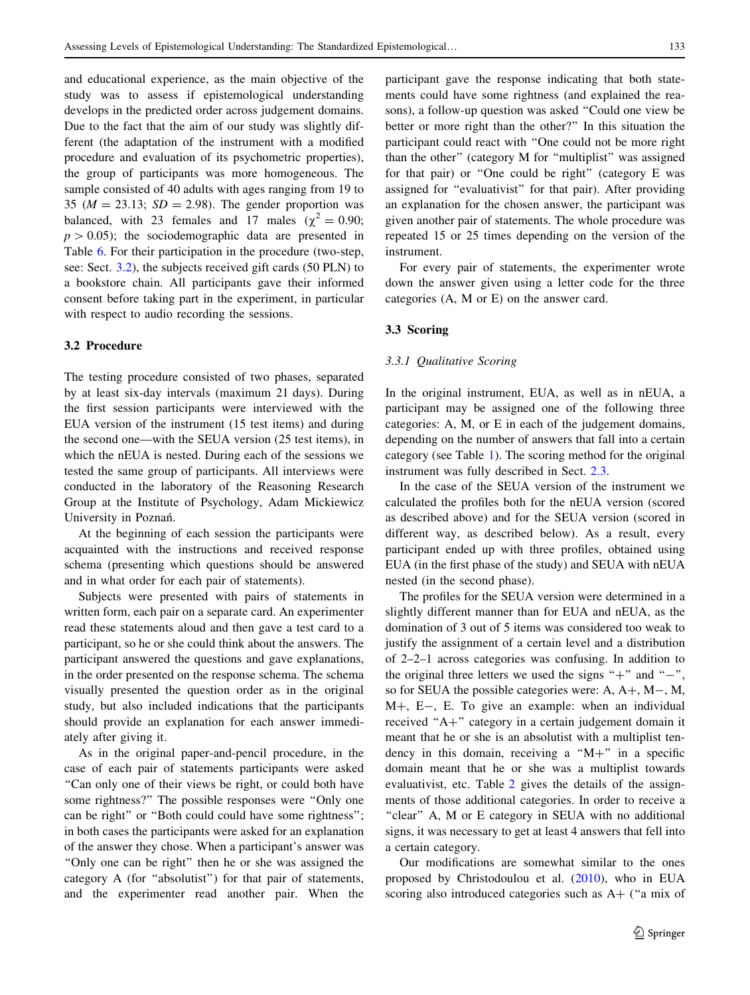and educational experience, as the main objective of the study was to assess if epistemological understanding develops in the predicted order across judgement domains. Due to the fact that the aim of our study was slightly different (the adaptation of the instrument with a modified procedure and evaluation of its psychometric properties), the group of participants was more homogeneous. The sample consisted of 40 adults with ages ranging from 19 to 35 ( $M = 23.13$ ;  $SD = 2.98$ ). The gender proportion was balanced, with 23 females and 17 males ( $\chi^2 = 0.90$ ;  $p > 0.05$ ; the sociodemographic data are presented in Table [6](#page-6-0). For their participation in the procedure (two-step, see: Sect. 3.2), the subjects received gift cards (50 PLN) to a bookstore chain. All participants gave their informed consent before taking part in the experiment, in particular with respect to audio recording the sessions.

## 3.2 Procedure

The testing procedure consisted of two phases, separated by at least six-day intervals (maximum 21 days). During the first session participants were interviewed with the EUA version of the instrument (15 test items) and during the second one—with the SEUA version (25 test items), in which the nEUA is nested. During each of the sessions we tested the same group of participants. All interviews were conducted in the laboratory of the Reasoning Research Group at the Institute of Psychology, Adam Mickiewicz University in Poznań.

At the beginning of each session the participants were acquainted with the instructions and received response schema (presenting which questions should be answered and in what order for each pair of statements).

Subjects were presented with pairs of statements in written form, each pair on a separate card. An experimenter read these statements aloud and then gave a test card to a participant, so he or she could think about the answers. The participant answered the questions and gave explanations, in the order presented on the response schema. The schema visually presented the question order as in the original study, but also included indications that the participants should provide an explanation for each answer immediately after giving it.

As in the original paper-and-pencil procedure, in the case of each pair of statements participants were asked ''Can only one of their views be right, or could both have some rightness?'' The possible responses were ''Only one can be right'' or ''Both could could have some rightness''; in both cases the participants were asked for an explanation of the answer they chose. When a participant's answer was "Only one can be right" then he or she was assigned the category A (for ''absolutist'') for that pair of statements, and the experimenter read another pair. When the participant gave the response indicating that both statements could have some rightness (and explained the reasons), a follow-up question was asked ''Could one view be better or more right than the other?'' In this situation the participant could react with ''One could not be more right than the other'' (category M for ''multiplist'' was assigned for that pair) or ''One could be right'' (category E was assigned for ''evaluativist'' for that pair). After providing an explanation for the chosen answer, the participant was given another pair of statements. The whole procedure was repeated 15 or 25 times depending on the version of the instrument.

For every pair of statements, the experimenter wrote down the answer given using a letter code for the three categories (A, M or E) on the answer card.

# 3.3 Scoring

#### 3.3.1 Qualitative Scoring

In the original instrument, EUA, as well as in nEUA, a participant may be assigned one of the following three categories: A, M, or E in each of the judgement domains, depending on the number of answers that fall into a certain category (see Table [1\)](#page-2-0). The scoring method for the original instrument was fully described in Sect. [2.3.](#page-2-0)

In the case of the SEUA version of the instrument we calculated the profiles both for the nEUA version (scored as described above) and for the SEUA version (scored in different way, as described below). As a result, every participant ended up with three profiles, obtained using EUA (in the first phase of the study) and SEUA with nEUA nested (in the second phase).

The profiles for the SEUA version were determined in a slightly different manner than for EUA and nEUA, as the domination of 3 out of 5 items was considered too weak to justify the assignment of a certain level and a distribution of 2–2–1 across categories was confusing. In addition to the original three letters we used the signs " $+$ " and " $-$ ", so for SEUA the possible categories were:  $A, A+, M-, M,$  $M+$ , E-, E. To give an example: when an individual received "A+" category in a certain judgement domain it meant that he or she is an absolutist with a multiplist tendency in this domain, receiving a " $M+$ " in a specific domain meant that he or she was a multiplist towards evaluativist, etc. Table [2](#page-5-0) gives the details of the assignments of those additional categories. In order to receive a "clear" A, M or E category in SEUA with no additional signs, it was necessary to get at least 4 answers that fell into a certain category.

Our modifications are somewhat similar to the ones proposed by Christodoulou et al. ([2010\)](#page-11-0), who in EUA scoring also introduced categories such as  $A+$  ("a mix of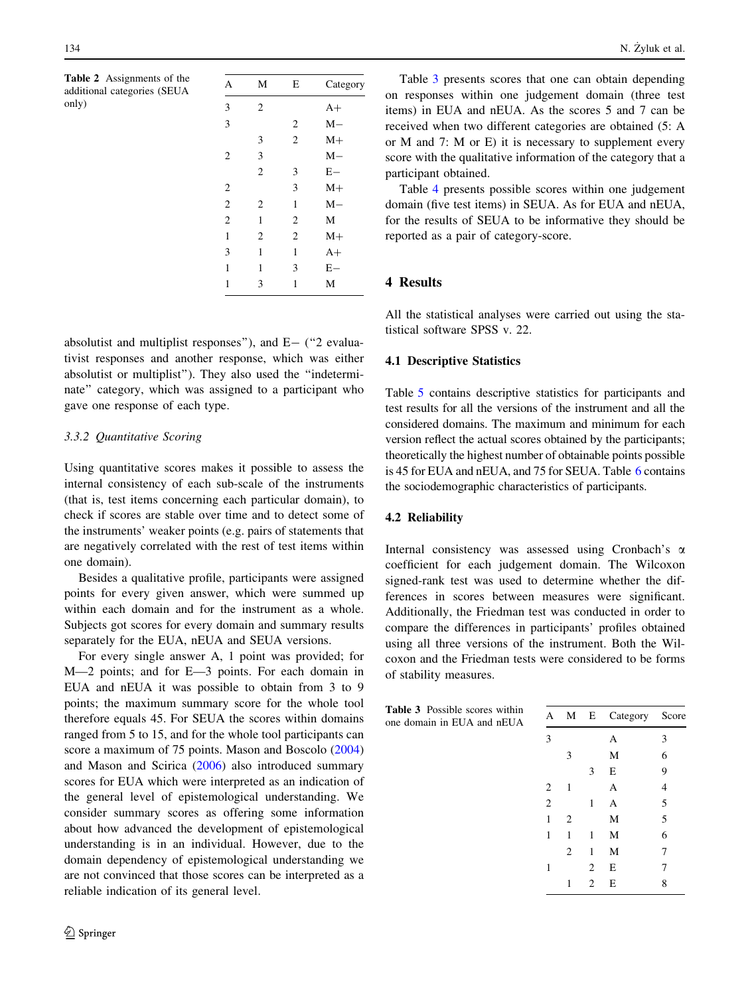<span id="page-5-0"></span>Table 2 Assignments of the additional categories (SEUA only)

| A              | М              | E              | Category |
|----------------|----------------|----------------|----------|
| 3              | 2              |                | $A+$     |
| 3              |                | 2              | $M -$    |
|                | 3              | $\overline{c}$ | $M+$     |
| 2              | 3              |                | $M -$    |
|                | $\overline{2}$ | 3              | $E-$     |
| 2              |                | 3              | $M+$     |
| $\overline{2}$ | $\overline{c}$ | 1              | $M -$    |
| $\overline{c}$ | 1              | $\overline{2}$ | M        |
| $\mathbf{1}$   | 2              | $\overline{2}$ | $M+$     |
| 3              | 1              | 1              | $A+$     |
| $\mathbf{1}$   | 1              | 3              | E-       |
| 1              | 3              | 1              | M        |
|                |                |                |          |

absolutist and multiplist responses"), and  $E-$  ("2 evaluativist responses and another response, which was either absolutist or multiplist''). They also used the ''indeterminate'' category, which was assigned to a participant who gave one response of each type.

### 3.3.2 Quantitative Scoring

Using quantitative scores makes it possible to assess the internal consistency of each sub-scale of the instruments (that is, test items concerning each particular domain), to check if scores are stable over time and to detect some of the instruments' weaker points (e.g. pairs of statements that are negatively correlated with the rest of test items within one domain).

Besides a qualitative profile, participants were assigned points for every given answer, which were summed up within each domain and for the instrument as a whole. Subjects got scores for every domain and summary results separately for the EUA, nEUA and SEUA versions.

For every single answer A, 1 point was provided; for M—2 points; and for E—3 points. For each domain in EUA and nEUA it was possible to obtain from 3 to 9 points; the maximum summary score for the whole tool therefore equals 45. For SEUA the scores within domains ranged from 5 to 15, and for the whole tool participants can score a maximum of 75 points. Mason and Boscolo ([2004\)](#page-12-0) and Mason and Scirica [\(2006](#page-12-0)) also introduced summary scores for EUA which were interpreted as an indication of the general level of epistemological understanding. We consider summary scores as offering some information about how advanced the development of epistemological understanding is in an individual. However, due to the domain dependency of epistemological understanding we are not convinced that those scores can be interpreted as a reliable indication of its general level.

Table 3 presents scores that one can obtain depending on responses within one judgement domain (three test items) in EUA and nEUA. As the scores 5 and 7 can be received when two different categories are obtained (5: A or M and 7: M or E) it is necessary to supplement every score with the qualitative information of the category that a participant obtained.

Table [4](#page-6-0) presents possible scores within one judgement domain (five test items) in SEUA. As for EUA and nEUA, for the results of SEUA to be informative they should be reported as a pair of category-score.

# 4 Results

All the statistical analyses were carried out using the statistical software SPSS v. 22.

### 4.1 Descriptive Statistics

Table [5](#page-6-0) contains descriptive statistics for participants and test results for all the versions of the instrument and all the considered domains. The maximum and minimum for each version reflect the actual scores obtained by the participants; theoretically the highest number of obtainable points possible is 45 for EUA and nEUA, and 75 for SEUA. Table [6](#page-6-0) contains the sociodemographic characteristics of participants.

### 4.2 Reliability

Internal consistency was assessed using Cronbach's  $\alpha$ coefficient for each judgement domain. The Wilcoxon signed-rank test was used to determine whether the differences in scores between measures were significant. Additionally, the Friedman test was conducted in order to compare the differences in participants' profiles obtained using all three versions of the instrument. Both the Wilcoxon and the Friedman tests were considered to be forms of stability measures.

Table 3 Possible scores within one domain in EUA and nEUA

| А                       | М              | Е              | Category | Score          |
|-------------------------|----------------|----------------|----------|----------------|
| 3                       |                |                | A        | 3              |
|                         | 3              |                | M        | 6              |
|                         |                | 3              | E        | 9              |
| $\overline{\mathbf{c}}$ | $\mathbf{1}$   |                | A        | $\overline{4}$ |
| $\sqrt{2}$              |                | 1              | A        | 5              |
| 1                       | $\overline{2}$ |                | M        | 5              |
| 1                       | 1              | 1              | M        | 6              |
|                         | $\overline{2}$ | 1              | M        | 7              |
| 1                       |                | $\overline{c}$ | E        | 7              |
|                         | 1              | $\overline{2}$ | E        | 8              |
|                         |                |                |          |                |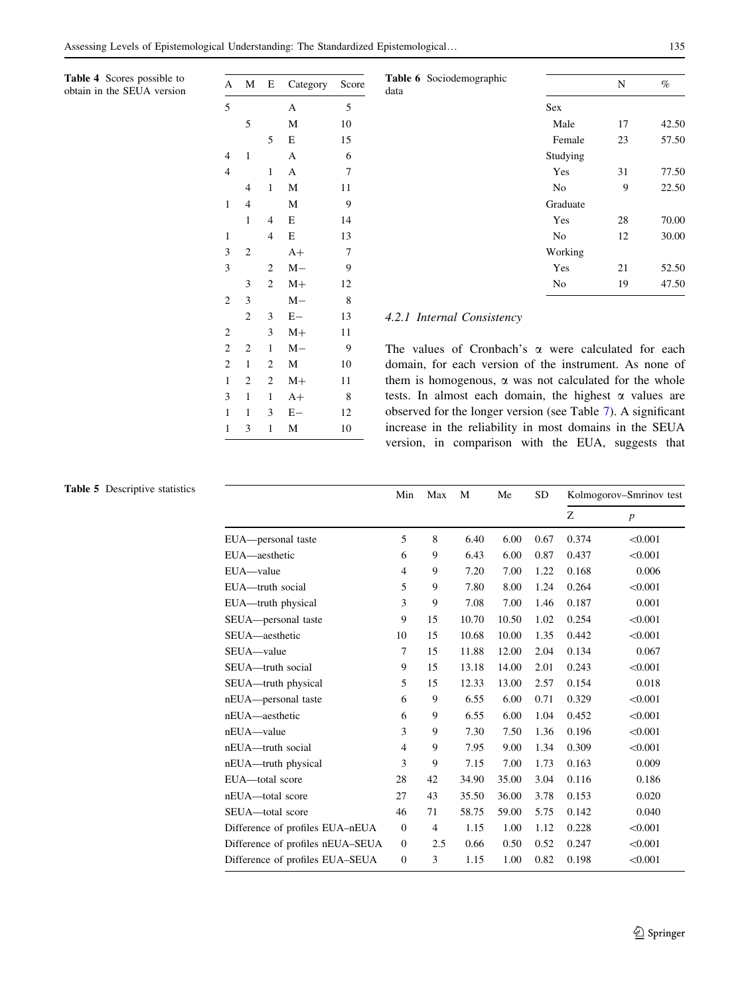<span id="page-6-0"></span>

| Table 4 Scores possible to<br>obtain in the SEUA version | A              | M                        | E                        | Category | Score |
|----------------------------------------------------------|----------------|--------------------------|--------------------------|----------|-------|
|                                                          | 5              |                          |                          | A        | 5     |
|                                                          |                | 5                        |                          | M        | 10    |
|                                                          |                |                          | 5                        | E        | 15    |
|                                                          | $\overline{4}$ | $\,1$                    |                          | A        | 6     |
|                                                          | $\overline{4}$ |                          | $\mathbf{1}$             | A        | 7     |
|                                                          |                | $\overline{4}$           | $\mathbf{1}$             | М        | 11    |
|                                                          | $\mathbf{1}$   | $\overline{\mathcal{L}}$ |                          | M        | 9     |
|                                                          |                | $\mathbf{1}$             | $\overline{\mathcal{A}}$ | Е        | 14    |
|                                                          | $\mathbf{1}$   |                          | $\overline{4}$           | E        | 13    |
|                                                          | 3              | $\sqrt{2}$               |                          | $A+$     | 7     |
|                                                          | 3              |                          | $\boldsymbol{2}$         | $M -$    | 9     |
|                                                          |                | $\mathfrak{Z}$           | $\sqrt{2}$               | $M+$     | 12    |
|                                                          | $\sqrt{2}$     | 3                        |                          | $M -$    | 8     |
|                                                          |                | $\sqrt{2}$               | 3                        | $E-$     | 13    |
|                                                          | $\sqrt{2}$     |                          | $\mathfrak{Z}$           | $M+$     | 11    |
|                                                          | $\overline{c}$ | $\boldsymbol{2}$         | $\mathbf{1}$             | $M -$    | 9     |
|                                                          | $\overline{c}$ | $\mathbf{1}$             | $\overline{c}$           | M        | 10    |
|                                                          | $\,1\,$        | $\boldsymbol{2}$         | $\boldsymbol{2}$         | $M+$     | 11    |
|                                                          | 3              | $\mathbf{1}$             | $\mathbf{1}$             | $A+$     | 8     |
|                                                          | $\mathbf{1}$   | $\mathbf{1}$             | 3                        | $E-$     | 12    |
|                                                          | $\,1$          | 3                        | $\mathbf{1}$             | M        | 10    |

| <b>Table 6</b> Sociodemographic<br>data |                | N  | $\%$  |
|-----------------------------------------|----------------|----|-------|
|                                         | Sex            |    |       |
|                                         | Male           | 17 | 42.50 |
|                                         | Female         | 23 | 57.50 |
|                                         | Studying       |    |       |
|                                         | Yes            | 31 | 77.50 |
|                                         | N <sub>0</sub> | 9  | 22.50 |
|                                         | Graduate       |    |       |
|                                         | Yes            | 28 | 70.00 |
|                                         | No             | 12 | 30.00 |
|                                         | Working        |    |       |
|                                         | Yes            | 21 | 52.50 |
|                                         | No             | 19 | 47.50 |
|                                         |                |    |       |

# 4.2.1 Internal Consistency

The values of Cronbach's  $\alpha$  were calculated for each domain, for each version of the instrument. As none of them is homogenous,  $\alpha$  was not calculated for the whole tests. In almost each domain, the highest  $\alpha$  values are observed for the longer version (see Table [7](#page-7-0)). A significant increase in the reliability in most domains in the SEUA version, in comparison with the EUA, suggests that

# Table 5 Descriptive statistics

|                                  | Min              | Max | M     | Me    | <b>SD</b> | Kolmogorov-Smrinov test |                  |
|----------------------------------|------------------|-----|-------|-------|-----------|-------------------------|------------------|
|                                  |                  |     |       |       |           | Z                       | $\boldsymbol{p}$ |
| EUA-personal taste               | 5                | 8   | 6.40  | 6.00  | 0.67      | 0.374                   | < 0.001          |
| EUA-aesthetic                    | 6                | 9   | 6.43  | 6.00  | 0.87      | 0.437                   | < 0.001          |
| EUA—value                        | 4                | 9   | 7.20  | 7.00  | 1.22      | 0.168                   | 0.006            |
| EUA-truth social                 | 5                | 9   | 7.80  | 8.00  | 1.24      | 0.264                   | < 0.001          |
| EUA-truth physical               | 3                | 9   | 7.08  | 7.00  | 1.46      | 0.187                   | 0.001            |
| SEUA-personal taste              | 9                | 15  | 10.70 | 10.50 | 1.02      | 0.254                   | < 0.001          |
| SEUA—aesthetic                   | 10               | 15  | 10.68 | 10.00 | 1.35      | 0.442                   | < 0.001          |
| SEUA-value                       | 7                | 15  | 11.88 | 12.00 | 2.04      | 0.134                   | 0.067            |
| SEUA-truth social                | 9                | 15  | 13.18 | 14.00 | 2.01      | 0.243                   | < 0.001          |
| SEUA—truth physical              | 5                | 15  | 12.33 | 13.00 | 2.57      | 0.154                   | 0.018            |
| nEUA—personal taste              | 6                | 9   | 6.55  | 6.00  | 0.71      | 0.329                   | < 0.001          |
| nEUA—aesthetic                   | 6                | 9   | 6.55  | 6.00  | 1.04      | 0.452                   | < 0.001          |
| nEUA—value                       | 3                | 9   | 7.30  | 7.50  | 1.36      | 0.196                   | < 0.001          |
| nEUA—truth social                | $\overline{4}$   | 9   | 7.95  | 9.00  | 1.34      | 0.309                   | < 0.001          |
| nEUA—truth physical              | 3                | 9   | 7.15  | 7.00  | 1.73      | 0.163                   | 0.009            |
| EUA-total score                  | 28               | 42  | 34.90 | 35.00 | 3.04      | 0.116                   | 0.186            |
| nEUA-total score                 | 27               | 43  | 35.50 | 36.00 | 3.78      | 0.153                   | 0.020            |
| SEUA-total score                 | 46               | 71  | 58.75 | 59.00 | 5.75      | 0.142                   | 0.040            |
| Difference of profiles EUA-nEUA  | $\boldsymbol{0}$ | 4   | 1.15  | 1.00  | 1.12      | 0.228                   | < 0.001          |
| Difference of profiles nEUA-SEUA | $\mathbf{0}$     | 2.5 | 0.66  | 0.50  | 0.52      | 0.247                   | < 0.001          |
| Difference of profiles EUA-SEUA  | $\mathbf{0}$     | 3   | 1.15  | 1.00  | 0.82      | 0.198                   | < 0.001          |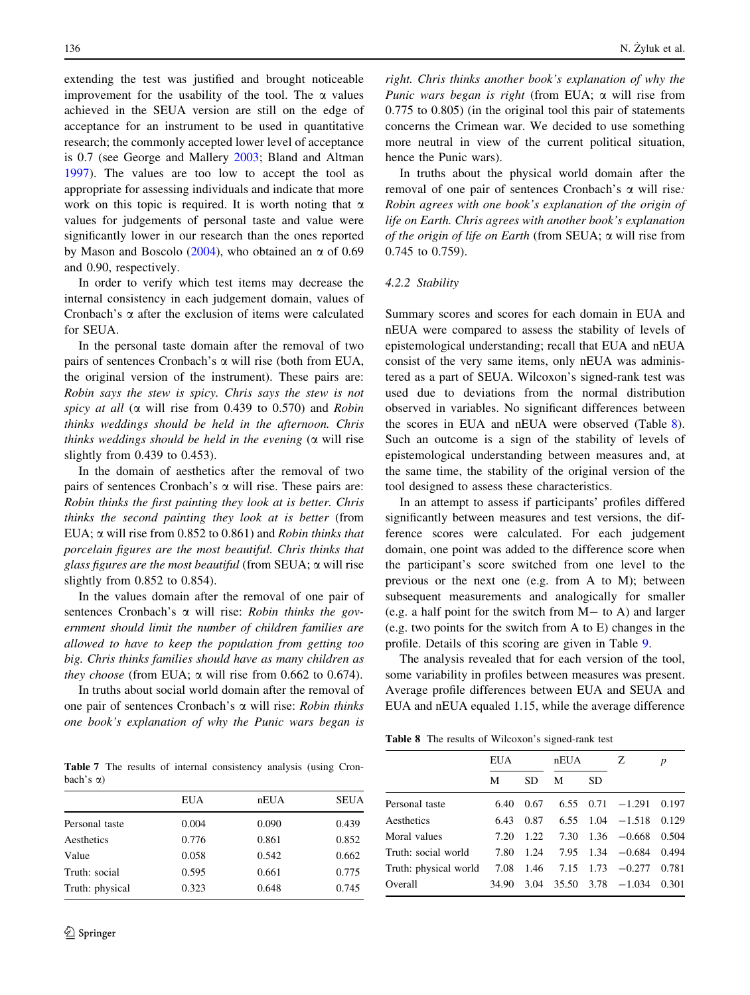<span id="page-7-0"></span>extending the test was justified and brought noticeable improvement for the usability of the tool. The  $\alpha$  values achieved in the SEUA version are still on the edge of acceptance for an instrument to be used in quantitative research; the commonly accepted lower level of acceptance is 0.7 (see George and Mallery [2003;](#page-12-0) Bland and Altman [1997\)](#page-11-0). The values are too low to accept the tool as appropriate for assessing individuals and indicate that more work on this topic is required. It is worth noting that  $\alpha$ values for judgements of personal taste and value were significantly lower in our research than the ones reported by Mason and Boscolo ([2004\)](#page-12-0), who obtained an  $\alpha$  of 0.69 and 0.90, respectively.

In order to verify which test items may decrease the internal consistency in each judgement domain, values of Cronbach's  $\alpha$  after the exclusion of items were calculated for SEUA.

In the personal taste domain after the removal of two pairs of sentences Cronbach's  $\alpha$  will rise (both from EUA, the original version of the instrument). These pairs are: Robin says the stew is spicy. Chris says the stew is not spicy at all  $(\alpha$  will rise from 0.439 to 0.570) and Robin thinks weddings should be held in the afternoon. Chris thinks weddings should be held in the evening  $(\alpha$  will rise slightly from 0.439 to 0.453).

In the domain of aesthetics after the removal of two pairs of sentences Cronbach's  $\alpha$  will rise. These pairs are: Robin thinks the first painting they look at is better. Chris thinks the second painting they look at is better (from EUA;  $\alpha$  will rise from 0.852 to 0.861) and *Robin thinks that* porcelain figures are the most beautiful. Chris thinks that glass figures are the most beautiful (from SEUA;  $\alpha$  will rise slightly from 0.852 to 0.854).

In the values domain after the removal of one pair of sentences Cronbach's  $\alpha$  will rise: Robin thinks the government should limit the number of children families are allowed to have to keep the population from getting too big. Chris thinks families should have as many children as they choose (from EUA;  $\alpha$  will rise from 0.662 to 0.674).

In truths about social world domain after the removal of one pair of sentences Cronbach's  $\alpha$  will rise: *Robin thinks* one book's explanation of why the Punic wars began is right. Chris thinks another book's explanation of why the Punic wars began is right (from EUA;  $\alpha$  will rise from 0.775 to 0.805) (in the original tool this pair of statements concerns the Crimean war. We decided to use something more neutral in view of the current political situation, hence the Punic wars).

In truths about the physical world domain after the removal of one pair of sentences Cronbach's  $\alpha$  will rise: Robin agrees with one book's explanation of the origin of life on Earth. Chris agrees with another book's explanation of the origin of life on Earth (from SEUA;  $\alpha$  will rise from 0.745 to 0.759).

#### 4.2.2 Stability

Summary scores and scores for each domain in EUA and nEUA were compared to assess the stability of levels of epistemological understanding; recall that EUA and nEUA consist of the very same items, only nEUA was administered as a part of SEUA. Wilcoxon's signed-rank test was used due to deviations from the normal distribution observed in variables. No significant differences between the scores in EUA and nEUA were observed (Table 8). Such an outcome is a sign of the stability of levels of epistemological understanding between measures and, at the same time, the stability of the original version of the tool designed to assess these characteristics.

In an attempt to assess if participants' profiles differed significantly between measures and test versions, the difference scores were calculated. For each judgement domain, one point was added to the difference score when the participant's score switched from one level to the previous or the next one (e.g. from A to M); between subsequent measurements and analogically for smaller (e.g. a half point for the switch from  $M-$  to A) and larger (e.g. two points for the switch from A to E) changes in the profile. Details of this scoring are given in Table [9](#page-8-0).

The analysis revealed that for each version of the tool, some variability in profiles between measures was present. Average profile differences between EUA and SEUA and EUA and nEUA equaled 1.15, while the average difference

Table 7 The results of internal consistency analysis (using Cronbach's  $\alpha$ )

|                 | EUA   | nEUA  | <b>SEUA</b> |
|-----------------|-------|-------|-------------|
| Personal taste  | 0.004 | 0.090 | 0.439       |
| Aesthetics      | 0.776 | 0.861 | 0.852       |
| Value           | 0.058 | 0.542 | 0.662       |
| Truth: social   | 0.595 | 0.661 | 0.775       |
| Truth: physical | 0.323 | 0.648 | 0.745       |

Table 8 The results of Wilcoxon's signed-rank test

|                            | EUA   |      | nEUA |     | Z                                          | p |
|----------------------------|-------|------|------|-----|--------------------------------------------|---|
|                            | M     | SD   | М    | SD. |                                            |   |
| Personal taste             | 6.40  | 0.67 |      |     | $6.55$ $0.71$ $-1.291$ $0.197$             |   |
| Aesthetics                 | 6.43  | 0.87 |      |     | $6.55$ $1.04$ $-1.518$ 0.129               |   |
| Moral values               | 7.20  | 1.22 |      |     | $7.30 \quad 1.36 \quad -0.668 \quad 0.504$ |   |
| Truth: social world        | 7.80  | 1.24 |      |     | $7.95$ $1.34$ $-0.684$ 0.494               |   |
| Truth: physical world 7.08 |       | 1.46 |      |     | $7.15$ $1.73$ $-0.277$ 0.781               |   |
| Overall                    | 34.90 | 3.04 |      |     | $35.50$ $3.78$ $-1.034$ 0.301              |   |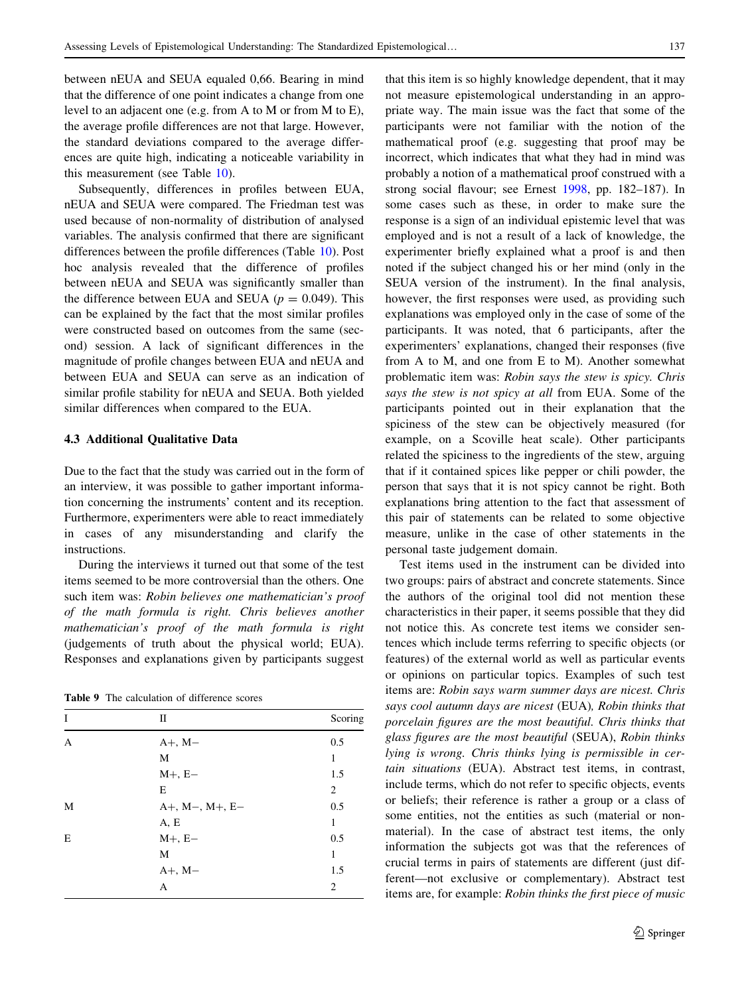<span id="page-8-0"></span>between nEUA and SEUA equaled 0,66. Bearing in mind that the difference of one point indicates a change from one level to an adjacent one (e.g. from A to M or from M to E), the average profile differences are not that large. However, the standard deviations compared to the average differences are quite high, indicating a noticeable variability in this measurement (see Table [10](#page-9-0)).

Subsequently, differences in profiles between EUA, nEUA and SEUA were compared. The Friedman test was used because of non-normality of distribution of analysed variables. The analysis confirmed that there are significant differences between the profile differences (Table [10\)](#page-9-0). Post hoc analysis revealed that the difference of profiles between nEUA and SEUA was significantly smaller than the difference between EUA and SEUA ( $p = 0.049$ ). This can be explained by the fact that the most similar profiles were constructed based on outcomes from the same (second) session. A lack of significant differences in the magnitude of profile changes between EUA and nEUA and between EUA and SEUA can serve as an indication of similar profile stability for nEUA and SEUA. Both yielded similar differences when compared to the EUA.

## 4.3 Additional Qualitative Data

Due to the fact that the study was carried out in the form of an interview, it was possible to gather important information concerning the instruments' content and its reception. Furthermore, experimenters were able to react immediately in cases of any misunderstanding and clarify the instructions.

During the interviews it turned out that some of the test items seemed to be more controversial than the others. One such item was: Robin believes one mathematician's proof of the math formula is right. Chris believes another mathematician's proof of the math formula is right (judgements of truth about the physical world; EUA). Responses and explanations given by participants suggest

Table 9 The calculation of difference scores

| I | П                 | Scoring |
|---|-------------------|---------|
| A | $A+$ , $M-$       | 0.5     |
|   | M                 | 1       |
|   | $M+$ , E-         | 1.5     |
|   | E                 | 2       |
| M | $A+$ , M-, M+, E- | 0.5     |
|   | A, E              | 1       |
| Ε | $M+$ , $E-$       | 0.5     |
|   | M                 | 1       |
|   | $A+$ , $M-$       | 1.5     |
|   | A                 | 2       |
|   |                   |         |

that this item is so highly knowledge dependent, that it may not measure epistemological understanding in an appropriate way. The main issue was the fact that some of the participants were not familiar with the notion of the mathematical proof (e.g. suggesting that proof may be incorrect, which indicates that what they had in mind was probably a notion of a mathematical proof construed with a strong social flavour; see Ernest [1998,](#page-12-0) pp. 182–187). In some cases such as these, in order to make sure the response is a sign of an individual epistemic level that was employed and is not a result of a lack of knowledge, the experimenter briefly explained what a proof is and then noted if the subject changed his or her mind (only in the SEUA version of the instrument). In the final analysis, however, the first responses were used, as providing such explanations was employed only in the case of some of the participants. It was noted, that 6 participants, after the experimenters' explanations, changed their responses (five from A to M, and one from E to M). Another somewhat problematic item was: Robin says the stew is spicy. Chris says the stew is not spicy at all from EUA. Some of the participants pointed out in their explanation that the spiciness of the stew can be objectively measured (for example, on a Scoville heat scale). Other participants related the spiciness to the ingredients of the stew, arguing that if it contained spices like pepper or chili powder, the person that says that it is not spicy cannot be right. Both explanations bring attention to the fact that assessment of this pair of statements can be related to some objective measure, unlike in the case of other statements in the personal taste judgement domain.

Test items used in the instrument can be divided into two groups: pairs of abstract and concrete statements. Since the authors of the original tool did not mention these characteristics in their paper, it seems possible that they did not notice this. As concrete test items we consider sentences which include terms referring to specific objects (or features) of the external world as well as particular events or opinions on particular topics. Examples of such test items are: Robin says warm summer days are nicest. Chris says cool autumn days are nicest (EUA), Robin thinks that porcelain figures are the most beautiful. Chris thinks that glass figures are the most beautiful (SEUA), Robin thinks lying is wrong. Chris thinks lying is permissible in certain situations (EUA). Abstract test items, in contrast, include terms, which do not refer to specific objects, events or beliefs; their reference is rather a group or a class of some entities, not the entities as such (material or nonmaterial). In the case of abstract test items, the only information the subjects got was that the references of crucial terms in pairs of statements are different (just different—not exclusive or complementary). Abstract test items are, for example: Robin thinks the first piece of music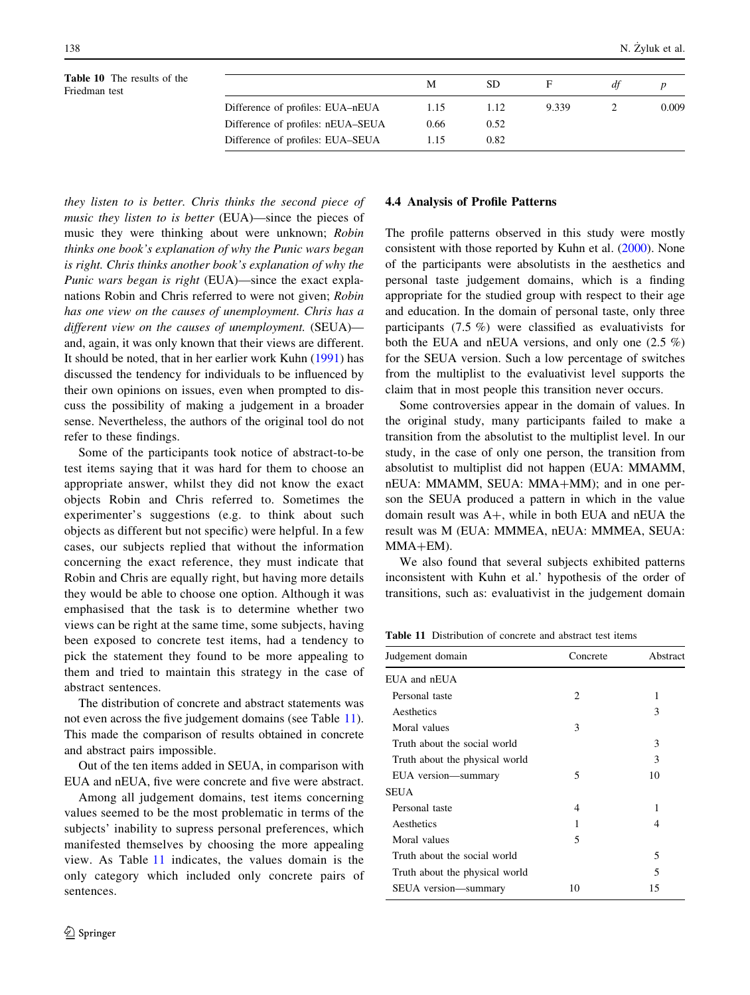<span id="page-9-0"></span>

| <b>Table 10</b> The results of the<br>Friedman test |                                   | М    | SD   |       | đt |       |
|-----------------------------------------------------|-----------------------------------|------|------|-------|----|-------|
|                                                     | Difference of profiles: EUA-nEUA  | 1.15 | 1.12 | 9.339 |    | 0.009 |
|                                                     | Difference of profiles: nEUA-SEUA | 0.66 | 0.52 |       |    |       |
|                                                     | Difference of profiles: EUA-SEUA  | 1.15 | 0.82 |       |    |       |

they listen to is better. Chris thinks the second piece of music they listen to is better (EUA)—since the pieces of music they were thinking about were unknown; Robin thinks one book's explanation of why the Punic wars began is right. Chris thinks another book's explanation of why the Punic wars began is right (EUA)—since the exact explanations Robin and Chris referred to were not given; Robin has one view on the causes of unemployment. Chris has a different view on the causes of unemployment. (SEUA) and, again, it was only known that their views are different. It should be noted, that in her earlier work Kuhn [\(1991](#page-12-0)) has discussed the tendency for individuals to be influenced by their own opinions on issues, even when prompted to discuss the possibility of making a judgement in a broader sense. Nevertheless, the authors of the original tool do not refer to these findings.

Some of the participants took notice of abstract-to-be test items saying that it was hard for them to choose an appropriate answer, whilst they did not know the exact objects Robin and Chris referred to. Sometimes the experimenter's suggestions (e.g. to think about such objects as different but not specific) were helpful. In a few cases, our subjects replied that without the information concerning the exact reference, they must indicate that Robin and Chris are equally right, but having more details they would be able to choose one option. Although it was emphasised that the task is to determine whether two views can be right at the same time, some subjects, having been exposed to concrete test items, had a tendency to pick the statement they found to be more appealing to them and tried to maintain this strategy in the case of abstract sentences.

The distribution of concrete and abstract statements was not even across the five judgement domains (see Table 11). This made the comparison of results obtained in concrete and abstract pairs impossible.

Out of the ten items added in SEUA, in comparison with EUA and nEUA, five were concrete and five were abstract.

Among all judgement domains, test items concerning values seemed to be the most problematic in terms of the subjects' inability to supress personal preferences, which manifested themselves by choosing the more appealing view. As Table 11 indicates, the values domain is the only category which included only concrete pairs of sentences.

#### 4.4 Analysis of Profile Patterns

The profile patterns observed in this study were mostly consistent with those reported by Kuhn et al. ([2000\)](#page-12-0). None of the participants were absolutists in the aesthetics and personal taste judgement domains, which is a finding appropriate for the studied group with respect to their age and education. In the domain of personal taste, only three participants (7.5 %) were classified as evaluativists for both the EUA and nEUA versions, and only one (2.5 %) for the SEUA version. Such a low percentage of switches from the multiplist to the evaluativist level supports the claim that in most people this transition never occurs.

Some controversies appear in the domain of values. In the original study, many participants failed to make a transition from the absolutist to the multiplist level. In our study, in the case of only one person, the transition from absolutist to multiplist did not happen (EUA: MMAMM, nEUA: MMAMM, SEUA: MMA+MM); and in one person the SEUA produced a pattern in which in the value domain result was  $A+$ , while in both EUA and nEUA the result was M (EUA: MMMEA, nEUA: MMMEA, SEUA:  $MMA+EM$ ).

We also found that several subjects exhibited patterns inconsistent with Kuhn et al.' hypothesis of the order of transitions, such as: evaluativist in the judgement domain

Table 11 Distribution of concrete and abstract test items

| Judgement domain               | Concrete                    | Abstract |
|--------------------------------|-----------------------------|----------|
| EUA and nEUA                   |                             |          |
| Personal taste                 | $\mathcal{D}_{\mathcal{L}}$ | 1        |
| Aesthetics                     |                             | 3        |
| Moral values                   | 3                           |          |
| Truth about the social world   |                             | 3        |
| Truth about the physical world |                             | 3        |
| EUA version-summary            | 5                           | 10       |
| SEUA                           |                             |          |
| Personal taste                 | 4                           | 1        |
| Aesthetics                     | 1                           | 4        |
| Moral values                   | 5                           |          |
| Truth about the social world   |                             | 5        |
| Truth about the physical world |                             | 5        |
| SEUA version-summary           | 10                          | 15       |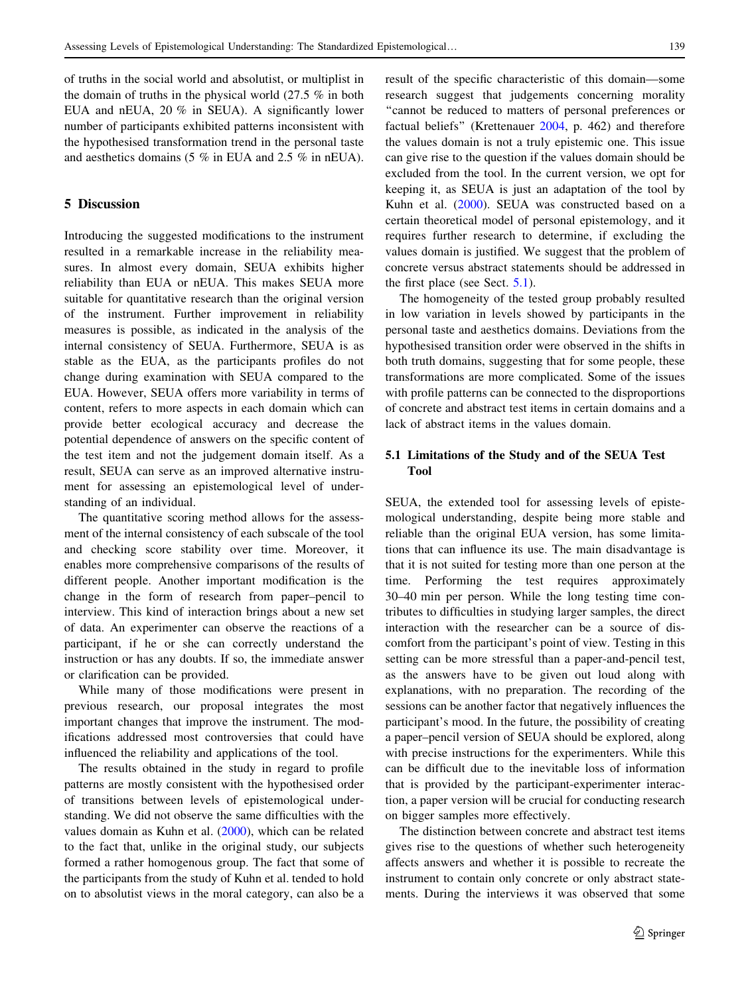<span id="page-10-0"></span>of truths in the social world and absolutist, or multiplist in the domain of truths in the physical world (27.5 % in both EUA and nEUA, 20 % in SEUA). A significantly lower number of participants exhibited patterns inconsistent with the hypothesised transformation trend in the personal taste and aesthetics domains (5 % in EUA and 2.5 % in nEUA).

# 5 Discussion

Introducing the suggested modifications to the instrument resulted in a remarkable increase in the reliability measures. In almost every domain, SEUA exhibits higher reliability than EUA or nEUA. This makes SEUA more suitable for quantitative research than the original version of the instrument. Further improvement in reliability measures is possible, as indicated in the analysis of the internal consistency of SEUA. Furthermore, SEUA is as stable as the EUA, as the participants profiles do not change during examination with SEUA compared to the EUA. However, SEUA offers more variability in terms of content, refers to more aspects in each domain which can provide better ecological accuracy and decrease the potential dependence of answers on the specific content of the test item and not the judgement domain itself. As a result, SEUA can serve as an improved alternative instrument for assessing an epistemological level of understanding of an individual.

The quantitative scoring method allows for the assessment of the internal consistency of each subscale of the tool and checking score stability over time. Moreover, it enables more comprehensive comparisons of the results of different people. Another important modification is the change in the form of research from paper–pencil to interview. This kind of interaction brings about a new set of data. An experimenter can observe the reactions of a participant, if he or she can correctly understand the instruction or has any doubts. If so, the immediate answer or clarification can be provided.

While many of those modifications were present in previous research, our proposal integrates the most important changes that improve the instrument. The modifications addressed most controversies that could have influenced the reliability and applications of the tool.

The results obtained in the study in regard to profile patterns are mostly consistent with the hypothesised order of transitions between levels of epistemological understanding. We did not observe the same difficulties with the values domain as Kuhn et al. ([2000\)](#page-12-0), which can be related to the fact that, unlike in the original study, our subjects formed a rather homogenous group. The fact that some of the participants from the study of Kuhn et al. tended to hold on to absolutist views in the moral category, can also be a result of the specific characteristic of this domain—some research suggest that judgements concerning morality ''cannot be reduced to matters of personal preferences or factual beliefs'' (Krettenauer [2004,](#page-12-0) p. 462) and therefore the values domain is not a truly epistemic one. This issue can give rise to the question if the values domain should be excluded from the tool. In the current version, we opt for keeping it, as SEUA is just an adaptation of the tool by Kuhn et al. ([2000\)](#page-12-0). SEUA was constructed based on a certain theoretical model of personal epistemology, and it requires further research to determine, if excluding the values domain is justified. We suggest that the problem of concrete versus abstract statements should be addressed in the first place (see Sect. 5.1).

The homogeneity of the tested group probably resulted in low variation in levels showed by participants in the personal taste and aesthetics domains. Deviations from the hypothesised transition order were observed in the shifts in both truth domains, suggesting that for some people, these transformations are more complicated. Some of the issues with profile patterns can be connected to the disproportions of concrete and abstract test items in certain domains and a lack of abstract items in the values domain.

# 5.1 Limitations of the Study and of the SEUA Test Tool

SEUA, the extended tool for assessing levels of epistemological understanding, despite being more stable and reliable than the original EUA version, has some limitations that can influence its use. The main disadvantage is that it is not suited for testing more than one person at the time. Performing the test requires approximately 30–40 min per person. While the long testing time contributes to difficulties in studying larger samples, the direct interaction with the researcher can be a source of discomfort from the participant's point of view. Testing in this setting can be more stressful than a paper-and-pencil test, as the answers have to be given out loud along with explanations, with no preparation. The recording of the sessions can be another factor that negatively influences the participant's mood. In the future, the possibility of creating a paper–pencil version of SEUA should be explored, along with precise instructions for the experimenters. While this can be difficult due to the inevitable loss of information that is provided by the participant-experimenter interaction, a paper version will be crucial for conducting research on bigger samples more effectively.

The distinction between concrete and abstract test items gives rise to the questions of whether such heterogeneity affects answers and whether it is possible to recreate the instrument to contain only concrete or only abstract statements. During the interviews it was observed that some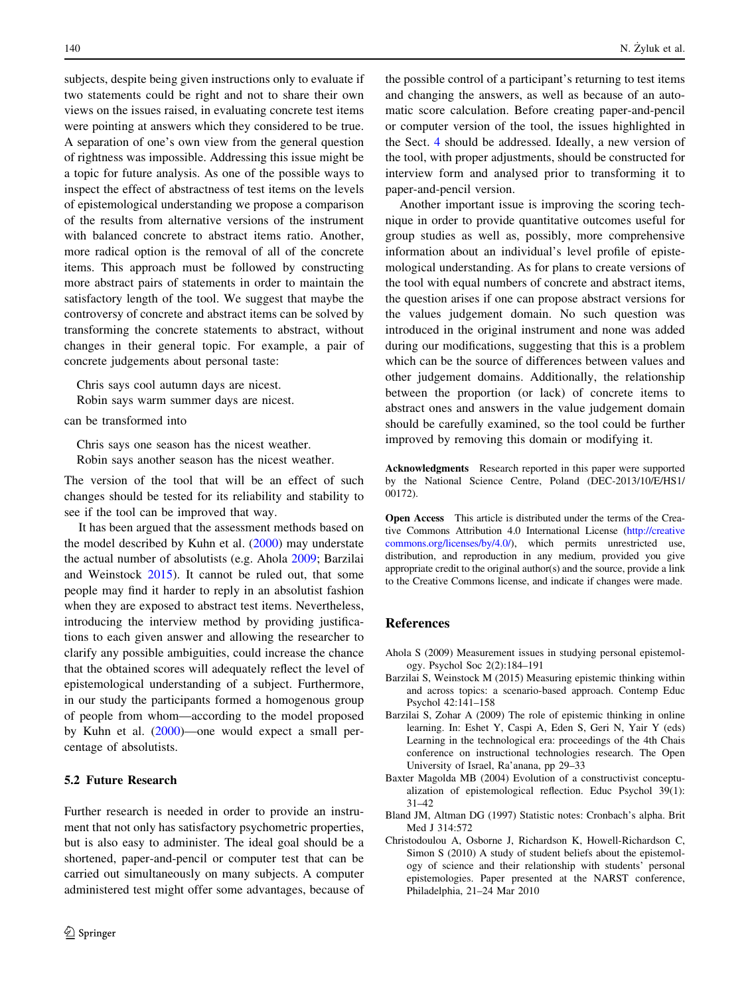<span id="page-11-0"></span>subjects, despite being given instructions only to evaluate if two statements could be right and not to share their own views on the issues raised, in evaluating concrete test items were pointing at answers which they considered to be true. A separation of one's own view from the general question of rightness was impossible. Addressing this issue might be a topic for future analysis. As one of the possible ways to inspect the effect of abstractness of test items on the levels of epistemological understanding we propose a comparison of the results from alternative versions of the instrument with balanced concrete to abstract items ratio. Another, more radical option is the removal of all of the concrete items. This approach must be followed by constructing more abstract pairs of statements in order to maintain the satisfactory length of the tool. We suggest that maybe the controversy of concrete and abstract items can be solved by transforming the concrete statements to abstract, without changes in their general topic. For example, a pair of concrete judgements about personal taste:

Chris says cool autumn days are nicest.

Robin says warm summer days are nicest.

can be transformed into

Chris says one season has the nicest weather.

Robin says another season has the nicest weather.

The version of the tool that will be an effect of such changes should be tested for its reliability and stability to see if the tool can be improved that way.

It has been argued that the assessment methods based on the model described by Kuhn et al. [\(2000](#page-12-0)) may understate the actual number of absolutists (e.g. Ahola 2009; Barzilai and Weinstock 2015). It cannot be ruled out, that some people may find it harder to reply in an absolutist fashion when they are exposed to abstract test items. Nevertheless, introducing the interview method by providing justifications to each given answer and allowing the researcher to clarify any possible ambiguities, could increase the chance that the obtained scores will adequately reflect the level of epistemological understanding of a subject. Furthermore, in our study the participants formed a homogenous group of people from whom—according to the model proposed by Kuhn et al. [\(2000](#page-12-0))—one would expect a small percentage of absolutists.

## 5.2 Future Research

Further research is needed in order to provide an instrument that not only has satisfactory psychometric properties, but is also easy to administer. The ideal goal should be a shortened, paper-and-pencil or computer test that can be carried out simultaneously on many subjects. A computer administered test might offer some advantages, because of

the possible control of a participant's returning to test items and changing the answers, as well as because of an automatic score calculation. Before creating paper-and-pencil or computer version of the tool, the issues highlighted in the Sect. [4](#page-5-0) should be addressed. Ideally, a new version of the tool, with proper adjustments, should be constructed for interview form and analysed prior to transforming it to paper-and-pencil version.

Another important issue is improving the scoring technique in order to provide quantitative outcomes useful for group studies as well as, possibly, more comprehensive information about an individual's level profile of epistemological understanding. As for plans to create versions of the tool with equal numbers of concrete and abstract items, the question arises if one can propose abstract versions for the values judgement domain. No such question was introduced in the original instrument and none was added during our modifications, suggesting that this is a problem which can be the source of differences between values and other judgement domains. Additionally, the relationship between the proportion (or lack) of concrete items to abstract ones and answers in the value judgement domain should be carefully examined, so the tool could be further improved by removing this domain or modifying it.

Acknowledgments Research reported in this paper were supported by the National Science Centre, Poland (DEC-2013/10/E/HS1/ 00172).

Open Access This article is distributed under the terms of the Creative Commons Attribution 4.0 International License [\(http://creative](http://creativecommons.org/licenses/by/4.0/) [commons.org/licenses/by/4.0/\)](http://creativecommons.org/licenses/by/4.0/), which permits unrestricted use, distribution, and reproduction in any medium, provided you give appropriate credit to the original author(s) and the source, provide a link to the Creative Commons license, and indicate if changes were made.

# References

- Ahola S (2009) Measurement issues in studying personal epistemology. Psychol Soc 2(2):184–191
- Barzilai S, Weinstock M (2015) Measuring epistemic thinking within and across topics: a scenario-based approach. Contemp Educ Psychol 42:141–158
- Barzilai S, Zohar A (2009) The role of epistemic thinking in online learning. In: Eshet Y, Caspi A, Eden S, Geri N, Yair Y (eds) Learning in the technological era: proceedings of the 4th Chais conference on instructional technologies research. The Open University of Israel, Ra'anana, pp 29–33
- Baxter Magolda MB (2004) Evolution of a constructivist conceptualization of epistemological reflection. Educ Psychol 39(1): 31–42
- Bland JM, Altman DG (1997) Statistic notes: Cronbach's alpha. Brit Med J 314:572
- Christodoulou A, Osborne J, Richardson K, Howell-Richardson C, Simon S (2010) A study of student beliefs about the epistemology of science and their relationship with students' personal epistemologies. Paper presented at the NARST conference, Philadelphia, 21–24 Mar 2010